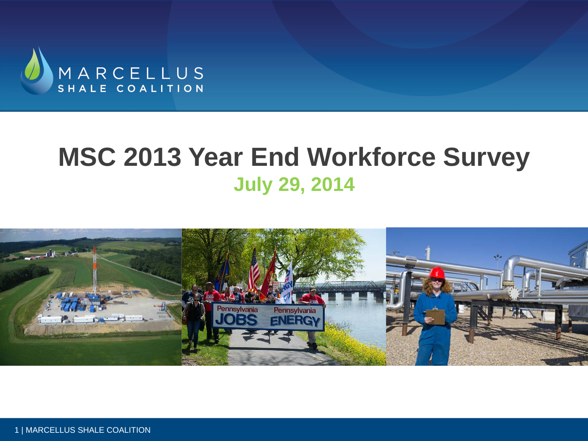

## **MSC 2013 Year End Workforce Survey July 29, 2014**



1 | MARCELLUS SHALE COALITION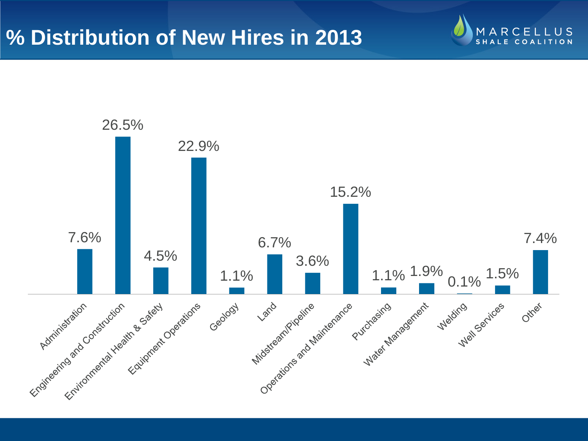#### **% Distribution of New Hires in 2013**



ARCELL  $U S$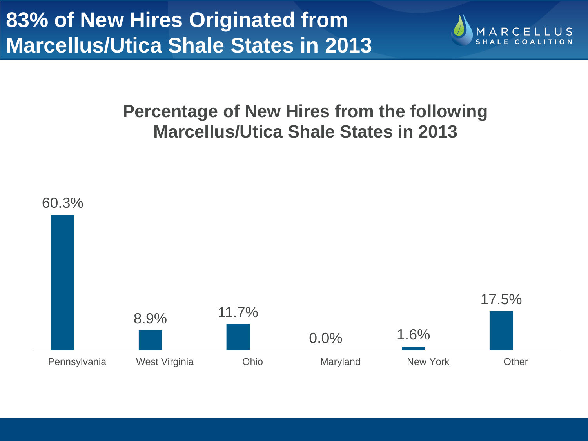

#### **Percentage of New Hires from the following Marcellus/Utica Shale States in 2013**

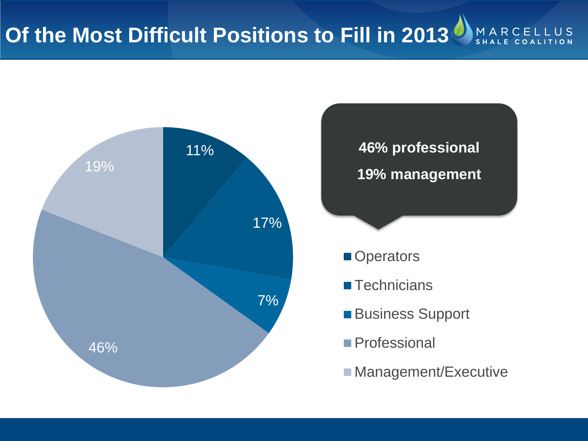

**46% professional 19% management**

- **Operators**
- **Technicians**
- **Business Support**
- **Professional**
- **Management/Executive**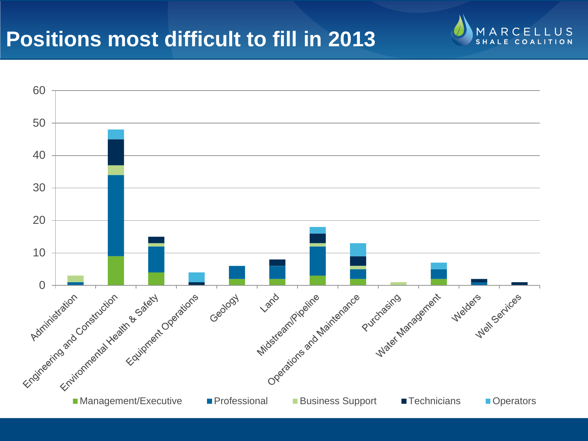#### **Positions most difficult to fill in 2013**



**ARCELLUS** M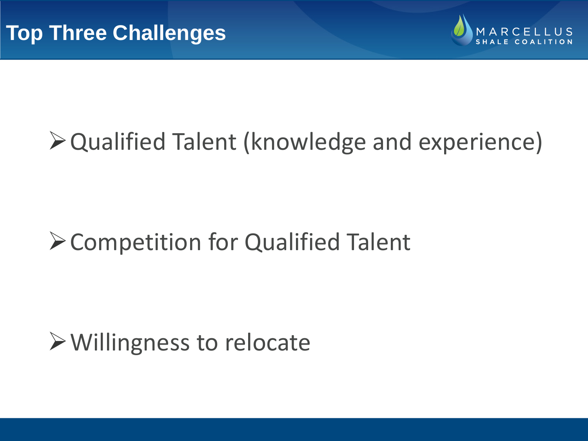

# Qualified Talent (knowledge and experience)

# Competition for Qualified Talent

## Willingness to relocate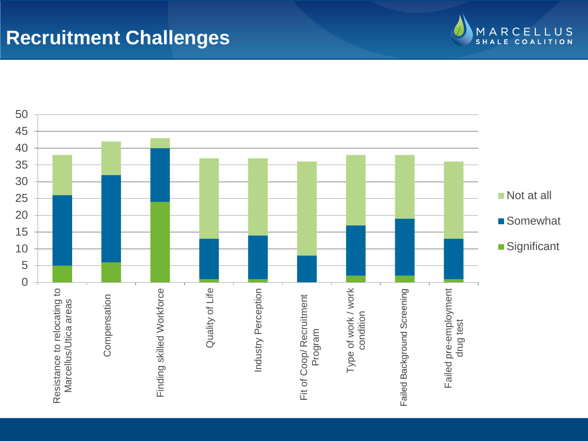#### **Recruitment Challenges**



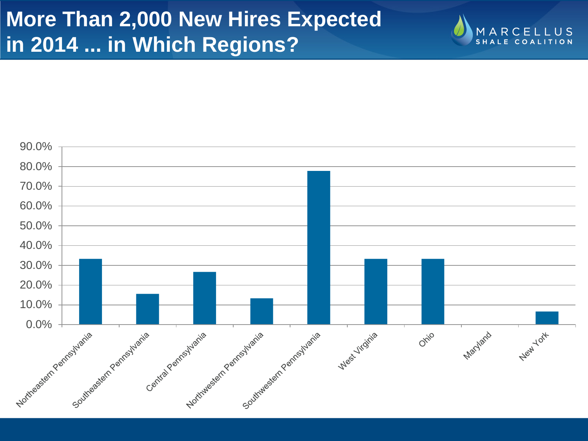## **More Than 2,000 New Hires Expected in 2014 ... in Which Regions?**



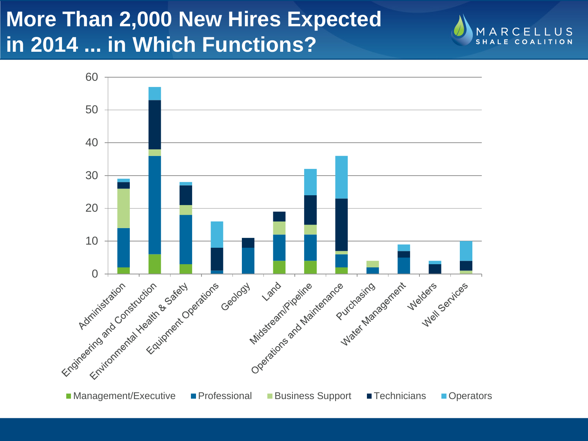## **More Than 2,000 New Hires Expected in 2014 ... in Which Functions?**



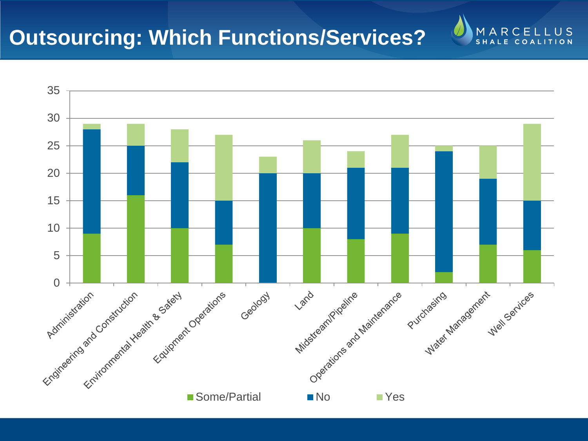#### **Outsourcing: Which Functions/Services?**



MARCELLUS **SHA**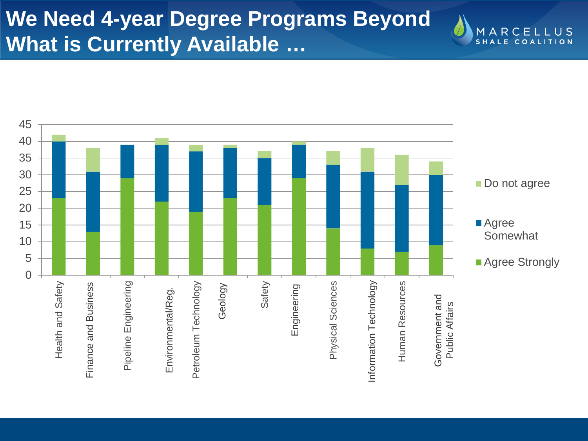### **We Need 4-year Degree Programs Beyond What is Currently Available …**



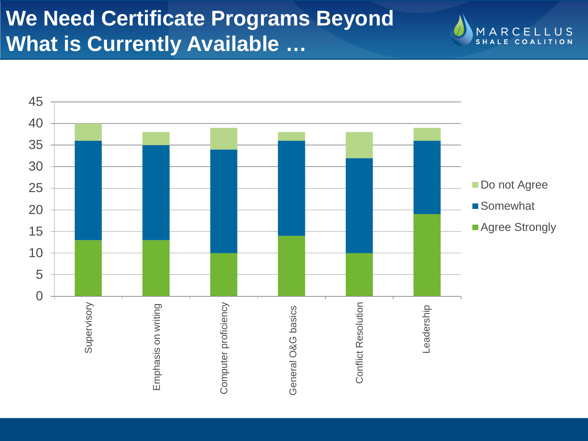### **We Need Certificate Programs Beyond What is Currently Available …**



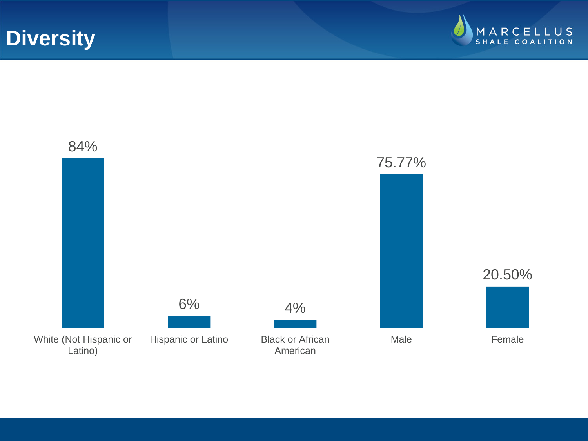**Diversity**



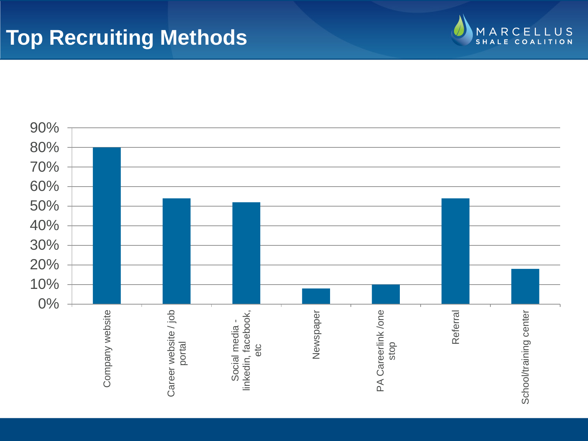#### **Top Recruiting Methods**



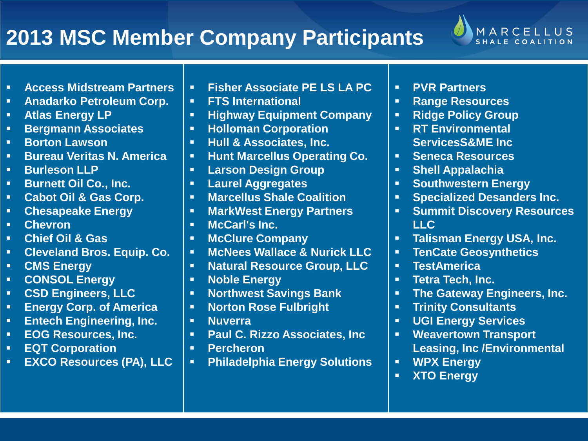#### **2013 MSC Member Company Participants**



- **Access Midstream Partners**
- **Anadarko Petroleum Corp.**
- **Atlas Energy LP**
- **Bergmann Associates**
- **Borton Lawson**
- **Bureau Veritas N. America**
- **Burleson LLP**
- **Burnett Oil Co., Inc.**
- **Cabot Oil & Gas Corp.**
- **Chesapeake Energy**
- **Chevron**
- **Chief Oil & Gas**
- **Cleveland Bros. Equip. Co.**
- **CMS Energy**
- **CONSOL Energy**
- **CSD Engineers, LLC**
- **Energy Corp. of America**
- **Entech Engineering, Inc.**
- **EOG Resources, Inc.**
- **EQT Corporation**
- **EXCO Resources (PA), LLC**
- **Fisher Associate PE LS LA PC**
- **FTS International**
- **Highway Equipment Company**
- **Holloman Corporation**
- **Hull & Associates, Inc.**
- **Hunt Marcellus Operating Co.**
- **Larson Design Group**
- **Laurel Aggregates**
- **Marcellus Shale Coalition**
- **MarkWest Energy Partners**
- **McCarl's Inc.**
- **McClure Company**
- **McNees Wallace & Nurick LLC**
- **Natural Resource Group, LLC**
- **Noble Energy**
- **Northwest Savings Bank**
- **Norton Rose Fulbright**
- **Nuverra**
- **Paul C. Rizzo Associates, Inc**
- **Percheron**
- **Philadelphia Energy Solutions**
- **PVR Partners**
- **Range Resources**
- **Ridge Policy Group**
- **RT Environmental ServicesS&ME Inc**
- **Seneca Resources**
- **Shell Appalachia**
- **F** Southwestern Energy
- **Specialized Desanders Inc.**
- **Summit Discovery Resources LLC**
- **Talisman Energy USA, Inc.**
- **TenCate Geosynthetics**
- **TestAmerica**
- **Tetra Tech, Inc.**
- **The Gateway Engineers, Inc.**
- **Trinity Consultants**
- **UGI Energy Services**
- **Weavertown Transport Leasing, Inc /Environmental**
- **WPX Energy**
- **XTO Energy**